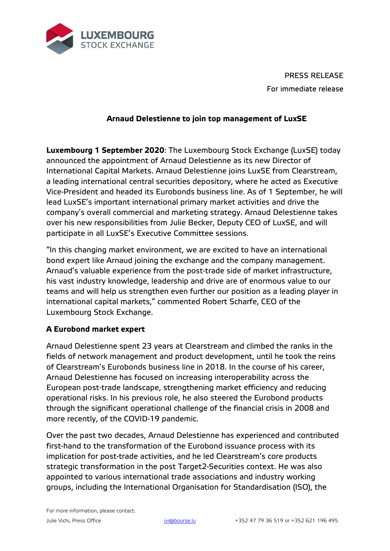

PRESS RELEASE For immediate release

## **Arnaud Delestienne to join top management of LuxSE**

**Luxembourg 1 September 2020**: The Luxembourg Stock Exchange (LuxSE) today announced the appointment of Arnaud Delestienne as its new Director of International Capital Markets. Arnaud Delestienne joins LuxSE from Clearstream, a leading international central securities depository, where he acted as Executive Vice-President and headed its Eurobonds business line. As of 1 September, he will lead LuxSE's important international primary market activities and drive the company's overall commercial and marketing strategy. Arnaud Delestienne takes over his new responsibilities from Julie Becker, Deputy CEO of LuxSE, and will participate in all LuxSE's Executive Committee sessions.

"In this changing market environment, we are excited to have an international bond expert like Arnaud joining the exchange and the company management. Arnaud's valuable experience from the post-trade side of market infrastructure, his vast industry knowledge, leadership and drive are of enormous value to our teams and will help us strengthen even further our position as a leading player in international capital markets," commented Robert Scharfe, CEO of the Luxembourg Stock Exchange.

## **A Eurobond market expert**

Arnaud Delestienne spent 23 years at Clearstream and climbed the ranks in the fields of network management and product development, until he took the reins of Clearstream's Eurobonds business line in 2018. In the course of his career, Arnaud Delestienne has focused on increasing interoperability across the European post-trade landscape, strengthening market efficiency and reducing operational risks. In his previous role, he also steered the Eurobond products through the significant operational challenge of the financial crisis in 2008 and more recently, of the COVID-19 pandemic.

Over the past two decades, Arnaud Delestienne has experienced and contributed first-hand to the transformation of the Eurobond issuance process with its implication for post-trade activities, and he led Clearstream's core products strategic transformation in the post Target2-Securities context. He was also appointed to various international trade associations and industry working groups, including the International Organisation for Standardisation (ISO), the